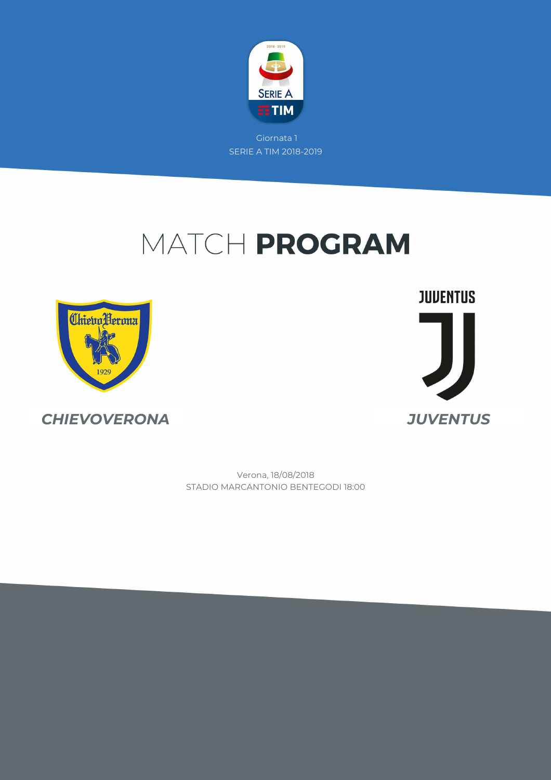

## MATCH PROGRAM



*CHIEVOVERONA JUVENTUS*

**JUVENTUS** 

STADIO MARCANTONIO BENTEGODI 18:00 Verona, 18/08/2018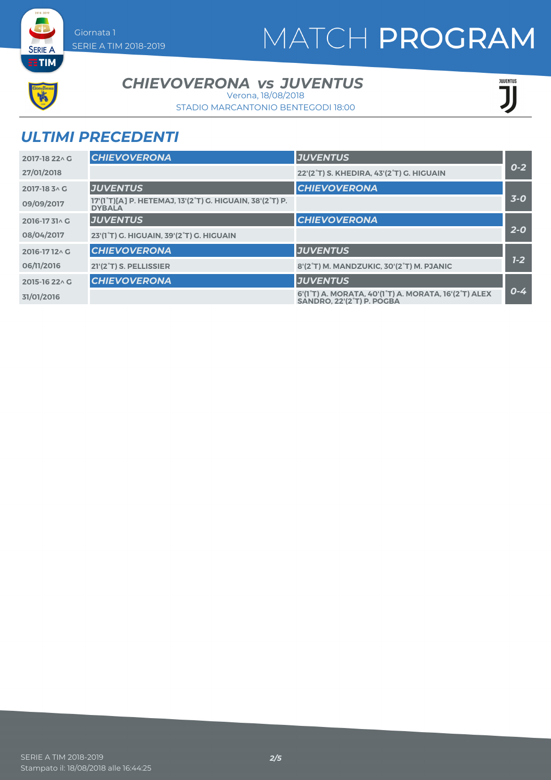## MATCH PROGRAM



**SERIE A ETIM** 

*CHIEVOVERONA JUVENTUS vs*

Verona, 18/08/2018

STADIO MARCANTONIO BENTEGODI 18:00

**JUENTUS** 

## *ULTIMI PRECEDENTI*

| 2017-18 22 \ G | <b>CHIEVOVERONA</b>                                                       | <b>JUVENTUS</b>                                                                                |         |
|----------------|---------------------------------------------------------------------------|------------------------------------------------------------------------------------------------|---------|
| 27/01/2018     |                                                                           | 22'(2°T) S. KHEDIRA, 43'(2°T) G. HIGUAIN                                                       | $0 - 2$ |
| 2017-18 3 ^ G  | <b>JUVENTUS</b>                                                           | <b>CHIEVOVERONA</b>                                                                            |         |
| 09/09/2017     | 17'(1°T)[A] P. HETEMAJ, 13'(2°T) G. HIGUAIN, 38'(2°T) P.<br><b>DYBALA</b> |                                                                                                | $3-0$   |
| 2016-1731^G    | <b>JUVENTUS</b>                                                           | <b>CHIEVOVERONA</b>                                                                            |         |
| 08/04/2017     | 23'(1°T) G. HIGUAIN, 39'(2°T) G. HIGUAIN                                  |                                                                                                | $2 - 0$ |
| 2016-1712^C    | <b>CHIEVOVERONA</b>                                                       | <b>JUVENTUS</b>                                                                                |         |
| 06/11/2016     | 21'(2 <sup>°</sup> T) S. PELLISSIER                                       | 8'(2°T) M. MANDZUKIC, 30'(2°T) M. PJANIC                                                       | $1 - 2$ |
| 2015-16 22 \ G | <b>CHIEVOVERONA</b>                                                       | <b>JUVENTUS</b>                                                                                |         |
| 31/01/2016     |                                                                           | 6'(1°T) A. MORATA, 40'(1°T) A. MORATA, 16'(2°T) ALEX<br>SANDRO. 22'(2 <sup>°</sup> T) P. POGBA | $0 - 4$ |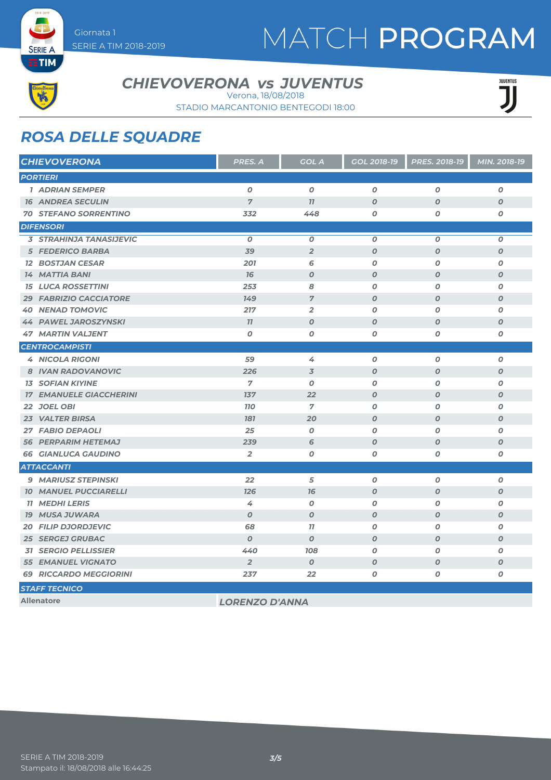

## MATCH PROGRAM



**SERIE A ETIM** 

#### *CHIEVOVERONA JUVENTUS vs*

Verona, 18/08/2018

STADIO MARCANTONIO BENTEGODI 18:00

JUENTUS

#### *ROSA DELLE SQUADRE*

| <b>CHIEVOVERONA</b>  |                                | PRES. A          | <b>GOL A</b>     | GOL 2018-19      | PRES. 2018-19    | MIN. 2018-19     |
|----------------------|--------------------------------|------------------|------------------|------------------|------------------|------------------|
|                      | <b>PORTIERI</b>                |                  |                  |                  |                  |                  |
|                      | <b>1 ADRIAN SEMPER</b>         | $\boldsymbol{O}$ | $\boldsymbol{o}$ | 0                | $\boldsymbol{o}$ | 0                |
|                      | <b>16 ANDREA SECULIN</b>       | $\overline{7}$   | 11               | $\boldsymbol{O}$ | $\boldsymbol{O}$ | $\boldsymbol{O}$ |
|                      | <b>70 STEFANO SORRENTINO</b>   | 332              | 448              | $\boldsymbol{o}$ | 0                | 0                |
|                      | <b>DIFENSORI</b>               |                  |                  |                  |                  |                  |
|                      | <b>3 STRAHINJA TANASIJEVIC</b> | $\boldsymbol{0}$ | $\boldsymbol{o}$ | $\boldsymbol{o}$ | $\boldsymbol{O}$ | $\boldsymbol{O}$ |
|                      | <b>5 FEDERICO BARBA</b>        | 39               | $\overline{2}$   | $\boldsymbol{O}$ | $\boldsymbol{O}$ | $\boldsymbol{O}$ |
|                      | <b>12 BOSTJAN CESAR</b>        | 201              | 6                | $\boldsymbol{O}$ | $\boldsymbol{0}$ | $\boldsymbol{O}$ |
|                      | <b>14 MATTIA BANI</b>          | 76               | $\boldsymbol{O}$ | $\boldsymbol{O}$ | $\boldsymbol{0}$ | $\boldsymbol{O}$ |
|                      | <b>15 LUCA ROSSETTINI</b>      | 253              | 8                | $\boldsymbol{o}$ | $\boldsymbol{O}$ | $\boldsymbol{O}$ |
|                      | <b>29 FABRIZIO CACCIATORE</b>  | 149              | $\overline{7}$   | $\boldsymbol{O}$ | $\boldsymbol{0}$ | $\boldsymbol{O}$ |
|                      | <b>40 NENAD TOMOVIC</b>        | 217              | $\overline{2}$   | $\boldsymbol{o}$ | 0                | $\boldsymbol{O}$ |
|                      | <b>44 PAWEL JAROSZYNSKI</b>    | 11               | $\boldsymbol{O}$ | $\boldsymbol{O}$ | $\boldsymbol{O}$ | $\boldsymbol{O}$ |
|                      | <b>47 MARTIN VALJENT</b>       | $\boldsymbol{0}$ | $\boldsymbol{O}$ | $\boldsymbol{o}$ | $\boldsymbol{O}$ | $\boldsymbol{o}$ |
|                      | <b>CENTROCAMPISTI</b>          |                  |                  |                  |                  |                  |
|                      | <b>4 NICOLA RIGONI</b>         | 59               | 4                | $\boldsymbol{o}$ | $\boldsymbol{O}$ | $\boldsymbol{0}$ |
|                      | 8 IVAN RADOVANOVIC             | 226              | $\overline{3}$   | $\boldsymbol{O}$ | $\boldsymbol{O}$ | $\boldsymbol{O}$ |
|                      | <b>13 SOFIAN KIYINE</b>        | $\overline{7}$   | $\boldsymbol{0}$ | $\boldsymbol{O}$ | $\boldsymbol{0}$ | $\boldsymbol{0}$ |
|                      | <b>17 EMANUELE GIACCHERINI</b> | 137              | 22               | $\boldsymbol{O}$ | $\boldsymbol{O}$ | $\boldsymbol{O}$ |
|                      | 22 JOEL OBI                    | <b>110</b>       | $\overline{7}$   | 0                | O                | 0                |
|                      | <b>23 VALTER BIRSA</b>         | 181              | 20               | $\boldsymbol{O}$ | $\boldsymbol{O}$ | $\boldsymbol{O}$ |
|                      | <b>27 FABIO DEPAOLI</b>        | 25               | $\boldsymbol{o}$ | $\boldsymbol{o}$ | O                | 0                |
|                      | <b>56 PERPARIM HETEMAJ</b>     | 239              | 6                | $\boldsymbol{O}$ | $\boldsymbol{O}$ | $\boldsymbol{O}$ |
|                      | <b>66 GIANLUCA GAUDINO</b>     | $\overline{2}$   | 0                | 0                | 0                | $\boldsymbol{o}$ |
|                      | <b>ATTACCANTI</b>              |                  |                  |                  |                  |                  |
|                      | <b>9 MARIUSZ STEPINSKI</b>     | 22               | 5                | $\boldsymbol{o}$ | $\boldsymbol{O}$ | $\boldsymbol{o}$ |
|                      | <b>10 MANUEL PUCCIARELLI</b>   | 126              | 76               | $\boldsymbol{O}$ | $\boldsymbol{O}$ | $\boldsymbol{O}$ |
|                      | <b>11 MEDHI LERIS</b>          | 4                | $\boldsymbol{O}$ | $\boldsymbol{O}$ | $\boldsymbol{0}$ | $\boldsymbol{O}$ |
|                      | <b>19 MUSA JUWARA</b>          | $\boldsymbol{O}$ | $\boldsymbol{0}$ | $\boldsymbol{O}$ | $\boldsymbol{0}$ | $\boldsymbol{O}$ |
|                      | <b>20 FILIP DJORDJEVIC</b>     | 68               | 11               | $\boldsymbol{o}$ | $\boldsymbol{O}$ | $\boldsymbol{O}$ |
|                      | <b>25 SERGEJ GRUBAC</b>        | $\boldsymbol{0}$ | $\boldsymbol{0}$ | $\boldsymbol{O}$ | $\boldsymbol{O}$ | $\boldsymbol{O}$ |
|                      | <b>31 SERGIO PELLISSIER</b>    | 440              | 108              | $\boldsymbol{0}$ | $\boldsymbol{O}$ | $\boldsymbol{O}$ |
|                      | <b>55 EMANUEL VIGNATO</b>      | $\overline{2}$   | $\boldsymbol{O}$ | $\boldsymbol{O}$ | $\boldsymbol{O}$ | $\boldsymbol{O}$ |
|                      | <b>69 RICCARDO MEGGIORINI</b>  | 237              | 22               | $\boldsymbol{O}$ | 0                | 0                |
| <b>STAFF TECNICO</b> |                                |                  |                  |                  |                  |                  |
|                      |                                |                  |                  |                  |                  |                  |

**Allenatore** *LORENZO D'ANNA*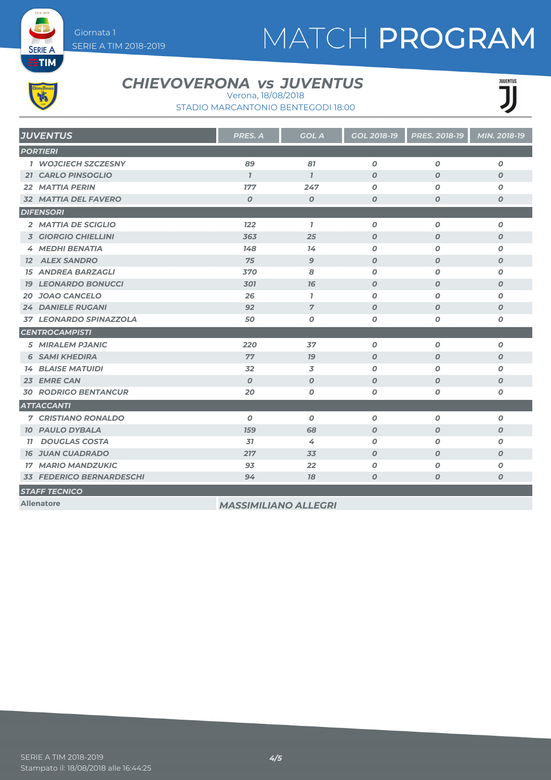# MATCH PROGRAM



**SERIE A ETIM** 

#### *CHIEVOVERONA JUVENTUS vs* Verona, 18/08/2018

STADIO MARCANTONIO BENTEGODI 18:00

| JUVENTUS |  |  |
|----------|--|--|
|          |  |  |

| <b>JUVENTUS</b>                 | <b>PRES. A</b>   | <b>GOL A</b>     | <b>GOL 2018-19</b> | <b>PRES. 2018-19</b> | MIN. 2018-19     |
|---------------------------------|------------------|------------------|--------------------|----------------------|------------------|
| <b>PORTIERI</b>                 |                  |                  |                    |                      |                  |
| 1 WOJCIECH SZCZESNY             | 89               | 81               | $\boldsymbol{0}$   | $\boldsymbol{0}$     | $\boldsymbol{0}$ |
| <b>21 CARLO PINSOGLIO</b>       | $\mathbf{7}$     | $\mathbf{7}$     | $\boldsymbol{O}$   | $\boldsymbol{0}$     | $\boldsymbol{O}$ |
| 22 MATTIA PERIN                 | 177              | 247              | 0                  | 0                    | $\pmb{o}$        |
| <b>32 MATTIA DEL FAVERO</b>     | $\boldsymbol{0}$ | $\boldsymbol{0}$ | $\boldsymbol{O}$   | $\boldsymbol{O}$     | $\boldsymbol{o}$ |
| <b>DIFENSORI</b>                |                  |                  |                    |                      |                  |
| 2 MATTIA DE SCIGLIO             | 122              | $\mathbf{7}$     | $\boldsymbol{0}$   | $\boldsymbol{0}$     | $\boldsymbol{O}$ |
| <b>3 GIORGIO CHIELLINI</b>      | 363              | 25               | $\boldsymbol{O}$   | $\boldsymbol{O}$     | $\boldsymbol{0}$ |
| 4 MEDHI BENATIA                 | 148              | 14               | 0                  | 0                    | 0                |
| <b>12 ALEX SANDRO</b>           | 75               | $\overline{9}$   | $\boldsymbol{O}$   | $\boldsymbol{0}$     | $\boldsymbol{0}$ |
| <b>15 ANDREA BARZAGLI</b>       | 370              | 8                | $\boldsymbol{0}$   | $\boldsymbol{O}$     | 0                |
| <b>19 LEONARDO BONUCCI</b>      | 301              | 76               | $\boldsymbol{0}$   | $\boldsymbol{O}$     | $\boldsymbol{O}$ |
| 20 JOAO CANCELO                 | 26               | $\mathbf{7}$     | O                  | $\boldsymbol{O}$     | $\boldsymbol{O}$ |
| <b>24 DANIELE RUGANI</b>        | 92               | $\overline{7}$   | $\boldsymbol{O}$   | $\boldsymbol{O}$     | $\boldsymbol{O}$ |
| <b>37 LEONARDO SPINAZZOLA</b>   | 50               | $\boldsymbol{o}$ | $\boldsymbol{o}$   | 0                    | 0                |
| <b>CENTROCAMPISTI</b>           |                  |                  |                    |                      |                  |
| <b>5 MIRALEM PJANIC</b>         | 220              | 37               | 0                  | O                    | $\boldsymbol{o}$ |
| <b>6 SAMI KHEDIRA</b>           | 77               | 79               | $\boldsymbol{0}$   | O                    | $\boldsymbol{o}$ |
| <b>14 BLAISE MATUIDI</b>        | 32               | $\overline{3}$   | 0                  | 0                    | 0                |
| 23 EMRE CAN                     | $\boldsymbol{0}$ | $\boldsymbol{O}$ | $\boldsymbol{0}$   | $\boldsymbol{0}$     | $\boldsymbol{O}$ |
| <b>30 RODRIGO BENTANCUR</b>     | 20               | $\boldsymbol{0}$ | 0                  | $\boldsymbol{O}$     | O                |
| <b>ATTACCANTI</b>               |                  |                  |                    |                      |                  |
| <b>7 CRISTIANO RONALDO</b>      | $\boldsymbol{0}$ | $\boldsymbol{0}$ | $\boldsymbol{0}$   | $\boldsymbol{o}$     | 0                |
| <b>10 PAULO DYBALA</b>          | <b>159</b>       | 68               | $\boldsymbol{O}$   | $\boldsymbol{0}$     | $\boldsymbol{0}$ |
| <b>DOUGLAS COSTA</b><br>77      | 31               | 4                | 0                  | 0                    | 0                |
| <b>16 JUAN CUADRADO</b>         | 217              | 33               | $\boldsymbol{0}$   | $\boldsymbol{0}$     | $\boldsymbol{0}$ |
| <b>17 MARIO MANDZUKIC</b>       | 93               | 22               | 0                  | 0                    | O                |
| <b>33 FEDERICO BERNARDESCHI</b> | 94               | 78               | $\boldsymbol{O}$   | $\boldsymbol{O}$     | $\boldsymbol{o}$ |
| <b>STAFF TECNICO</b>            |                  |                  |                    |                      |                  |

**Allenatore** *MASSIMILIANO ALLEGRI*